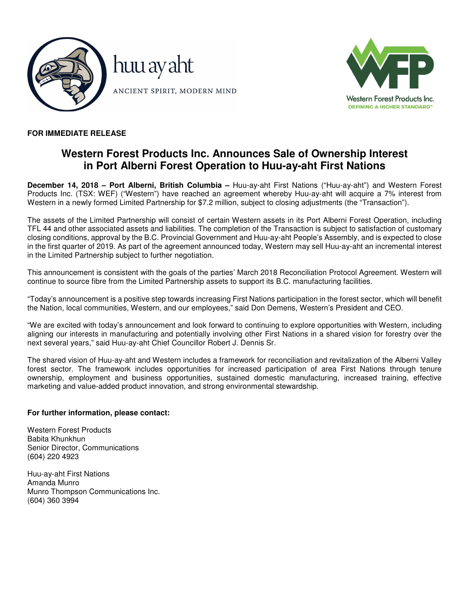



# **FOR IMMEDIATE RELEASE**

# **Western Forest Products Inc. Announces Sale of Ownership Interest in Port Alberni Forest Operation to Huu-ay-aht First Nations**

**December 14, 2018 – Port Alberni, British Columbia –** Huu-ay-aht First Nations ("Huu-ay-aht") and Western Forest Products Inc. (TSX: WEF) ("Western") have reached an agreement whereby Huu-ay-aht will acquire a 7% interest from Western in a newly formed Limited Partnership for \$7.2 million, subject to closing adjustments (the "Transaction").

The assets of the Limited Partnership will consist of certain Western assets in its Port Alberni Forest Operation, including TFL 44 and other associated assets and liabilities. The completion of the Transaction is subject to satisfaction of customary closing conditions, approval by the B.C. Provincial Government and Huu-ay-aht People's Assembly, and is expected to close in the first quarter of 2019. As part of the agreement announced today, Western may sell Huu-ay-aht an incremental interest in the Limited Partnership subject to further negotiation.

This announcement is consistent with the goals of the parties' March 2018 Reconciliation Protocol Agreement. Western will continue to source fibre from the Limited Partnership assets to support its B.C. manufacturing facilities.

"Today's announcement is a positive step towards increasing First Nations participation in the forest sector, which will benefit the Nation, local communities, Western, and our employees," said Don Demens, Western's President and CEO.

"We are excited with today's announcement and look forward to continuing to explore opportunities with Western, including aligning our interests in manufacturing and potentially involving other First Nations in a shared vision for forestry over the next several years," said Huu-ay-aht Chief Councillor Robert J. Dennis Sr.

The shared vision of Huu-ay-aht and Western includes a framework for reconciliation and revitalization of the Alberni Valley forest sector. The framework includes opportunities for increased participation of area First Nations through tenure ownership, employment and business opportunities, sustained domestic manufacturing, increased training, effective marketing and value-added product innovation, and strong environmental stewardship.

# **For further information, please contact:**

Western Forest Products Babita Khunkhun Senior Director, Communications (604) 220 4923

Huu-ay-aht First Nations Amanda Munro Munro Thompson Communications Inc. (604) 360 3994